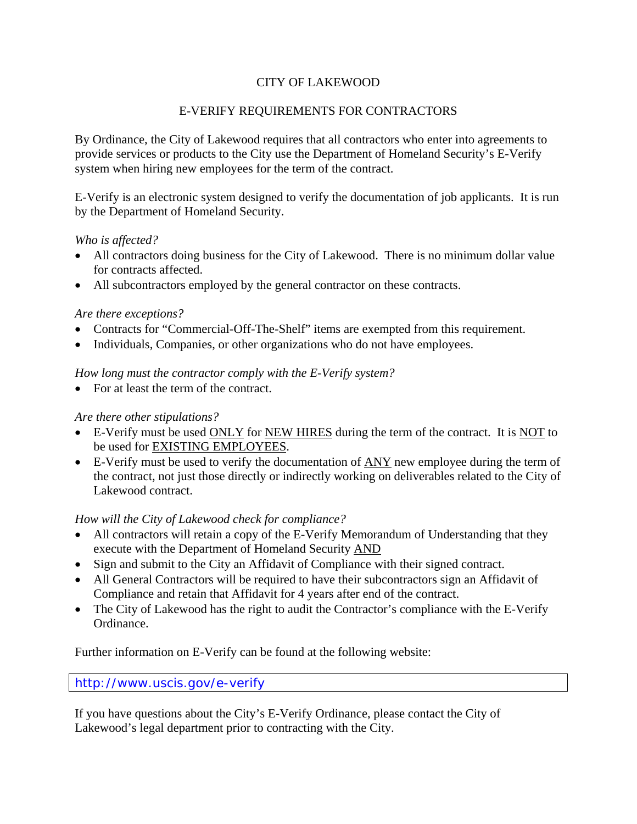# CITY OF LAKEWOOD

## E-VERIFY REQUIREMENTS FOR CONTRACTORS

By Ordinance, the City of Lakewood requires that all contractors who enter into agreements to provide services or products to the City use the Department of Homeland Security's E-Verify system when hiring new employees for the term of the contract.

E-Verify is an electronic system designed to verify the documentation of job applicants. It is run by the Department of Homeland Security.

### *Who is affected?*

- All contractors doing business for the City of Lakewood. There is no minimum dollar value for contracts affected.
- All subcontractors employed by the general contractor on these contracts.

### *Are there exceptions?*

- Contracts for "Commercial-Off-The-Shelf" items are exempted from this requirement.
- Individuals, Companies, or other organizations who do not have employees.

### *How long must the contractor comply with the E-Verify system?*

• For at least the term of the contract.

### *Are there other stipulations?*

- E-Verify must be used ONLY for NEW HIRES during the term of the contract. It is NOT to be used for EXISTING EMPLOYEES.
- E-Verify must be used to verify the documentation of ANY new employee during the term of the contract, not just those directly or indirectly working on deliverables related to the City of Lakewood contract.

### *How will the City of Lakewood check for compliance?*

- All contractors will retain a copy of the E-Verify Memorandum of Understanding that they execute with the Department of Homeland Security AND
- Sign and submit to the City an Affidavit of Compliance with their signed contract.
- All General Contractors will be required to have their subcontractors sign an Affidavit of Compliance and retain that Affidavit for 4 years after end of the contract.
- The City of Lakewood has the right to audit the Contractor's compliance with the E-Verify Ordinance.

Further information on E-Verify can be found at the following website:

#### <http://www.uscis.gov/e-verify>

If you have questions about the City's E-Verify Ordinance, please contact the City of Lakewood's legal department prior to contracting with the City.